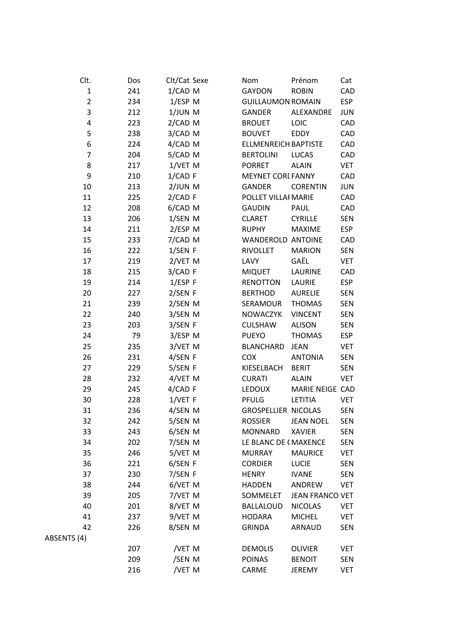| Clt.           | Dos | Clt/Cat Sexe |  | Nom                         | Prénom                 | Cat        |
|----------------|-----|--------------|--|-----------------------------|------------------------|------------|
| $\mathbf{1}$   | 241 | 1/CAD M      |  | <b>GAYDON</b>               | <b>ROBIN</b>           | CAD        |
| $\overline{2}$ | 234 | $1/ESP$ M    |  | <b>GUILLAUMON ROMAIN</b>    |                        | <b>ESP</b> |
| 3              | 212 | $1/JUN$ M    |  | GANDER                      | ALEXANDRE              | <b>JUN</b> |
| 4              | 223 | 2/CAD M      |  | <b>BROUET</b>               | LOIC                   | CAD        |
| 5              | 238 | 3/CAD M      |  | <b>BOUVET</b>               | <b>EDDY</b>            | CAD        |
| 6              | 224 | 4/CAD M      |  | <b>ELLMENREICH BAPTISTE</b> |                        | CAD        |
| $\overline{7}$ | 204 | 5/CAD M      |  | <b>BERTOLINI</b>            | <b>LUCAS</b>           | CAD        |
| 8              | 217 | 1/VET M      |  | <b>PORRET</b>               | <b>ALAIN</b>           | <b>VET</b> |
| 9              | 210 | $1/CAD$ F    |  | <b>MEYNET CORL FANNY</b>    |                        | CAD        |
| 10             | 213 | 2/JUN M      |  | <b>GANDER</b>               | <b>CORENTIN</b>        | <b>JUN</b> |
| 11             | 225 | 2/CADF       |  | POLLET VILLAI MARIE         |                        | CAD        |
| 12             | 208 | 6/CAD M      |  | <b>GAUDIN</b>               | PAUL                   | CAD        |
| 13             | 206 | 1/SEN M      |  | <b>CLARET</b>               | <b>CYRILLE</b>         | <b>SEN</b> |
| 14             | 211 | $2/ESP$ M    |  | <b>RUPHY</b>                | <b>MAXIME</b>          | <b>ESP</b> |
| 15             | 233 | 7/CAD M      |  | <b>WANDEROLD ANTOINE</b>    |                        | CAD        |
| 16             | 222 | 1/SEN F      |  | <b>RIVOLLET</b>             | <b>MARION</b>          | <b>SEN</b> |
| 17             | 219 | 2/VET M      |  | LAVY                        | GAËL                   | <b>VET</b> |
| 18             | 215 | 3/CAD F      |  | <b>MIQUET</b>               | LAURINE                | CAD        |
| 19             | 214 | $1/ESP$ F    |  | <b>RENOTTON</b>             | <b>LAURIE</b>          | <b>ESP</b> |
| 20             | 227 | 2/SEN F      |  | <b>BERTHOD</b>              | <b>AURELIE</b>         | <b>SEN</b> |
| 21             | 239 | 2/SEN M      |  | SERAMOUR                    | <b>THOMAS</b>          | <b>SEN</b> |
| 22             | 240 | 3/SEN M      |  | <b>NOWACZYK</b>             | <b>VINCENT</b>         | <b>SEN</b> |
| 23             | 203 | 3/SEN F      |  | <b>CULSHAW</b>              | <b>ALISON</b>          | <b>SEN</b> |
| 24             | 79  | 3/ESP M      |  | <b>PUEYO</b>                | <b>THOMAS</b>          | <b>ESP</b> |
| 25             | 235 | 3/VET M      |  | <b>BLANCHARD</b>            | <b>JEAN</b>            | <b>VET</b> |
| 26             | 231 | 4/SEN F      |  | COX                         | <b>ANTONIA</b>         | <b>SEN</b> |
| 27             | 229 | 5/SEN F      |  | KIESELBACH                  | <b>BERIT</b>           | <b>SEN</b> |
| 28             | 232 | 4/VET M      |  | <b>CURATI</b>               | <b>ALAIN</b>           | <b>VET</b> |
| 29             | 245 | 4/CADF       |  | <b>LEDOUX</b>               | MARIE NEIGE CAD        |            |
| 30             | 228 | 1/VET F      |  | PFULG                       | LETITIA                | <b>VET</b> |
| 31             | 236 | 4/SEN M      |  | <b>GROSPELLIER NICOLAS</b>  |                        | <b>SEN</b> |
| 32             | 242 | 5/SEN M      |  | <b>ROSSIER</b>              | <b>JEAN NOEL</b>       | <b>SEN</b> |
| 33             | 243 | 6/SEN M      |  | <b>MONNARD</b>              | <b>XAVIER</b>          | <b>SEN</b> |
| 34             | 202 | 7/SEN M      |  | LE BLANC DE (MAXENCE        |                        | <b>SEN</b> |
| 35             | 246 | 5/VET M      |  | <b>MURRAY</b>               | <b>MAURICE</b>         | <b>VET</b> |
| 36             | 221 | 6/SEN F      |  | <b>CORDIER</b>              | <b>LUCIE</b>           | <b>SEN</b> |
| 37             | 230 | 7/SEN F      |  | <b>HENRY</b>                | <b>IVANE</b>           | <b>SEN</b> |
| 38             | 244 | 6/VET M      |  | <b>HADDEN</b>               | ANDREW                 | <b>VET</b> |
| 39             | 205 | 7/VET M      |  | SOMMELET                    | <b>JEAN FRANCO VET</b> |            |
| 40             | 201 | 8/VET M      |  | <b>BALLALOUD</b>            | <b>NICOLAS</b>         | <b>VET</b> |
| 41             | 237 | 9/VET M      |  | <b>HODARA</b>               | <b>MICHEL</b>          | VET        |
| 42             | 226 | 8/SEN M      |  | <b>GRINDA</b>               | ARNAUD                 | <b>SEN</b> |
| ABSENTS (4)    |     |              |  |                             |                        |            |
|                | 207 | /VET M       |  | <b>DEMOLIS</b>              | <b>OLIVIER</b>         | VET        |
|                | 209 | /SEN M       |  | <b>POINAS</b>               | <b>BENOIT</b>          | <b>SEN</b> |
|                | 216 | /VET M       |  | CARME                       | <b>JEREMY</b>          | <b>VET</b> |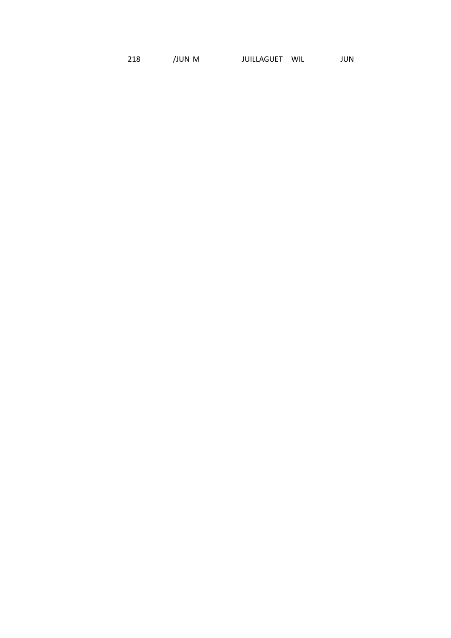218 /JUN M JUILLAGUET WIL JUN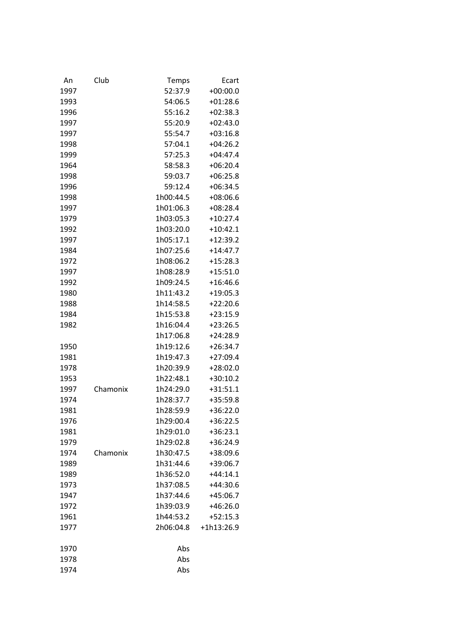| An   | Club     | Temps     | Ecart      |
|------|----------|-----------|------------|
| 1997 |          | 52:37.9   | $+00:00.0$ |
| 1993 |          | 54:06.5   | $+01:28.6$ |
| 1996 |          | 55:16.2   | $+02:38.3$ |
| 1997 |          | 55:20.9   | $+02:43.0$ |
| 1997 |          | 55:54.7   | $+03:16.8$ |
| 1998 |          | 57:04.1   | $+04:26.2$ |
| 1999 |          | 57:25.3   | $+04:47.4$ |
| 1964 |          | 58:58.3   | $+06:20.4$ |
| 1998 |          | 59:03.7   | $+06:25.8$ |
| 1996 |          | 59:12.4   | $+06:34.5$ |
| 1998 |          | 1h00:44.5 | $+08:06.6$ |
| 1997 |          | 1h01:06.3 | $+08:28.4$ |
| 1979 |          | 1h03:05.3 | $+10:27.4$ |
| 1992 |          | 1h03:20.0 | $+10:42.1$ |
| 1997 |          | 1h05:17.1 | $+12:39.2$ |
| 1984 |          | 1h07:25.6 | $+14:47.7$ |
| 1972 |          | 1h08:06.2 | $+15:28.3$ |
| 1997 |          | 1h08:28.9 | $+15:51.0$ |
| 1992 |          | 1h09:24.5 | $+16:46.6$ |
| 1980 |          | 1h11:43.2 | $+19:05.3$ |
| 1988 |          | 1h14:58.5 | $+22:20.6$ |
| 1984 |          | 1h15:53.8 | $+23:15.9$ |
| 1982 |          | 1h16:04.4 | $+23:26.5$ |
|      |          | 1h17:06.8 | $+24:28.9$ |
| 1950 |          | 1h19:12.6 | $+26:34.7$ |
| 1981 |          | 1h19:47.3 | $+27:09.4$ |
| 1978 |          | 1h20:39.9 | $+28:02.0$ |
| 1953 |          | 1h22:48.1 | $+30:10.2$ |
| 1997 | Chamonix | 1h24:29.0 | $+31:51.1$ |
| 1974 |          | 1h28:37.7 | $+35:59.8$ |
| 1981 |          | 1h28:59.9 | $+36:22.0$ |
| 1976 |          | 1h29:00.4 | $+36:22.5$ |
| 1981 |          | 1h29:01.0 | $+36:23.1$ |
| 1979 |          | 1h29:02.8 | $+36:24.9$ |
| 1974 | Chamonix | 1h30:47.5 | +38:09.6   |
| 1989 |          | 1h31:44.6 | $+39:06.7$ |
| 1989 |          | 1h36:52.0 | $+44:14.1$ |
| 1973 |          | 1h37:08.5 | $+44:30.6$ |
| 1947 |          | 1h37:44.6 | $+45:06.7$ |
| 1972 |          | 1h39:03.9 | $+46:26.0$ |
| 1961 |          | 1h44:53.2 | $+52:15.3$ |
| 1977 |          | 2h06:04.8 | +1h13:26.9 |
| 1970 |          | Abs       |            |
| 1978 |          | Abs       |            |
| 1974 |          | Abs       |            |